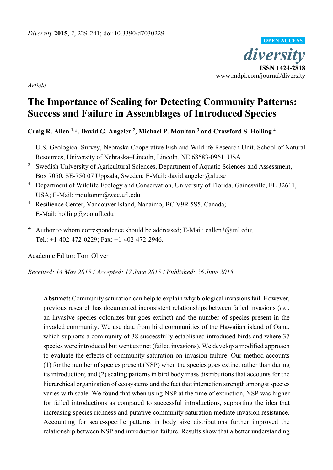

*Article* 

# **The Importance of Scaling for Detecting Community Patterns: Success and Failure in Assemblages of Introduced Species**

# **Craig R. Allen 1,\*, David G. Angeler 2, Michael P. Moulton 3 and Crawford S. Holling 4**

- <sup>1</sup> U.S. Geological Survey, Nebraska Cooperative Fish and Wildlife Research Unit, School of Natural Resources, University of Nebraska–Lincoln, Lincoln, NE 68583-0961, USA
- <sup>2</sup> Swedish University of Agricultural Sciences, Department of Aquatic Sciences and Assessment, Box 7050, SE-750 07 Uppsala, Sweden; E-Mail: david.angeler@slu.se
- <sup>3</sup> Department of Wildlife Ecology and Conservation, University of Florida, Gainesville, FL 32611, USA; E-Mail: moultonm@wec.ufl.edu
- 4 Resilience Center, Vancouver Island, Nanaimo, BC V9R 5S5, Canada; E-Mail: holling@zoo.ufl.edu
- **\*** Author to whom correspondence should be addressed; E-Mail: callen3@unl.edu; Tel.: +1-402-472-0229; Fax: +1-402-472-2946.

Academic Editor: Tom Oliver

*Received: 14 May 2015 / Accepted: 17 June 2015 / Published: 26 June 2015* 

**Abstract:** Community saturation can help to explain why biological invasions fail. However, previous research has documented inconsistent relationships between failed invasions (*i.e*., an invasive species colonizes but goes extinct) and the number of species present in the invaded community. We use data from bird communities of the Hawaiian island of Oahu, which supports a community of 38 successfully established introduced birds and where 37 species were introduced but went extinct (failed invasions). We develop a modified approach to evaluate the effects of community saturation on invasion failure. Our method accounts (1) for the number of species present (NSP) when the species goes extinct rather than during its introduction; and (2) scaling patterns in bird body mass distributions that accounts for the hierarchical organization of ecosystems and the fact that interaction strength amongst species varies with scale. We found that when using NSP at the time of extinction, NSP was higher for failed introductions as compared to successful introductions, supporting the idea that increasing species richness and putative community saturation mediate invasion resistance. Accounting for scale-specific patterns in body size distributions further improved the relationship between NSP and introduction failure. Results show that a better understanding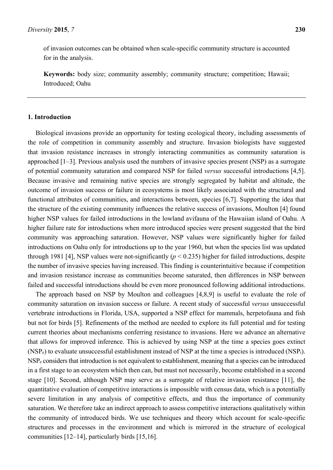of invasion outcomes can be obtained when scale-specific community structure is accounted for in the analysis.

**Keywords:** body size; community assembly; community structure; competition; Hawaii; Introduced; Oahu

## **1. Introduction**

Biological invasions provide an opportunity for testing ecological theory, including assessments of the role of competition in community assembly and structure. Invasion biologists have suggested that invasion resistance increases in strongly interacting communities as community saturation is approached [1–3]. Previous analysis used the numbers of invasive species present (NSP) as a surrogate of potential community saturation and compared NSP for failed *versus* successful introductions [4,5]. Because invasive and remaining native species are strongly segregated by habitat and altitude, the outcome of invasion success or failure in ecosystems is most likely associated with the structural and functional attributes of communities, and interactions between, species [6,7]. Supporting the idea that the structure of the existing community influences the relative success of invasions, Moulton [4] found higher NSP values for failed introductions in the lowland avifauna of the Hawaiian island of Oahu. A higher failure rate for introductions when more introduced species were present suggested that the bird community was approaching saturation. However, NSP values were significantly higher for failed introductions on Oahu only for introductions up to the year 1960, but when the species list was updated through 1981 [4], NSP values were not-significantly  $(p < 0.235)$  higher for failed introductions, despite the number of invasive species having increased. This finding is counterintuitive because if competition and invasion resistance increase as communities become saturated, then differences in NSP between failed and successful introductions should be even more pronounced following additional introductions.

The approach based on NSP by Moulton and colleagues [4,8,9] is useful to evaluate the role of community saturation on invasion success or failure. A recent study of successful *versus* unsuccessful vertebrate introductions in Florida, USA, supported a NSP effect for mammals, herpetofauna and fish but not for birds [5]. Refinements of the method are needed to explore its full potential and for testing current theories about mechanisms conferring resistance to invasions. Here we advance an alternative that allows for improved inference. This is achieved by using NSP at the time a species goes extinct  $(NSP<sub>e</sub>)$  to evaluate unsuccessful establishment instead of NSP at the time a species is introduced  $(NSP<sub>i</sub>)$ . NSPe considers that introduction is not equivalent to establishment, meaning that a species can be introduced in a first stage to an ecosystem which then can, but must not necessarily, become established in a second stage [10]. Second, although NSP may serve as a surrogate of relative invasion resistance [11], the quantitative evaluation of competitive interactions is impossible with census data, which is a potentially severe limitation in any analysis of competitive effects, and thus the importance of community saturation. We therefore take an indirect approach to assess competitive interactions qualitatively within the community of introduced birds. We use techniques and theory which account for scale-specific structures and processes in the environment and which is mirrored in the structure of ecological communities [12–14], particularly birds [15,16].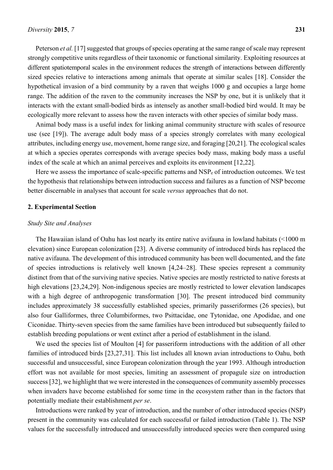Peterson *et al.* [17] suggested that groups of species operating at the same range of scale may represent strongly competitive units regardless of their taxonomic or functional similarity. Exploiting resources at different spatiotemporal scales in the environment reduces the strength of interactions between differently sized species relative to interactions among animals that operate at similar scales [18]. Consider the hypothetical invasion of a bird community by a raven that weighs 1000 g and occupies a large home range. The addition of the raven to the community increases the NSP by one, but it is unlikely that it interacts with the extant small-bodied birds as intensely as another small-bodied bird would. It may be ecologically more relevant to assess how the raven interacts with other species of similar body mass.

Animal body mass is a useful index for linking animal community structure with scales of resource use (see [19]). The average adult body mass of a species strongly correlates with many ecological attributes, including energy use, movement, home range size, and foraging [20,21]. The ecological scales at which a species operates corresponds with average species body mass, making body mass a useful index of the scale at which an animal perceives and exploits its environment [12,22].

Here we assess the importance of scale-specific patterns and NSP<sub>e</sub> of introduction outcomes. We test the hypothesis that relationships between introduction success and failures as a function of NSP become better discernable in analyses that account for scale *versus* approaches that do not.

#### **2. Experimental Section**

#### *Study Site and Analyses*

The Hawaiian island of Oahu has lost nearly its entire native avifauna in lowland habitats (<1000 m elevation) since European colonization [23]. A diverse community of introduced birds has replaced the native avifauna. The development of this introduced community has been well documented, and the fate of species introductions is relatively well known [4,24–28]. These species represent a community distinct from that of the surviving native species. Native species are mostly restricted to native forests at high elevations [23,24,29]. Non-indigenous species are mostly restricted to lower elevation landscapes with a high degree of anthropogenic transformation [30]. The present introduced bird community includes approximately 38 successfully established species, primarily passeriformes (26 species), but also four Galliformes, three Columbiformes, two Psittacidae, one Tytonidae, one Apodidae, and one Ciconidae. Thirty-seven species from the same families have been introduced but subsequently failed to establish breeding populations or went extinct after a period of establishment in the island.

We used the species list of Moulton [4] for passeriform introductions with the addition of all other families of introduced birds [23,27,31]. This list includes all known avian introductions to Oahu, both successful and unsuccessful, since European colonization through the year 1993. Although introduction effort was not available for most species, limiting an assessment of propagule size on introduction success [32], we highlight that we were interested in the consequences of community assembly processes when invaders have become established for some time in the ecosystem rather than in the factors that potentially mediate their establishment *per se*.

Introductions were ranked by year of introduction, and the number of other introduced species (NSP) present in the community was calculated for each successful or failed introduction (Table 1). The NSP values for the successfully introduced and unsuccessfully introduced species were then compared using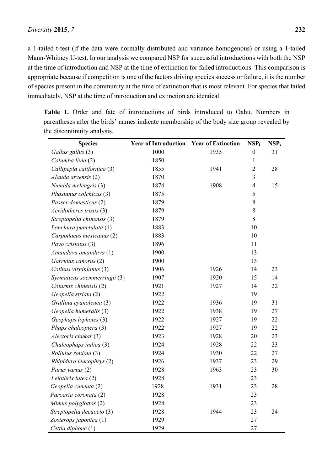a 1-tailed t-test (if the data were normally distributed and variance homogenous) or using a 1-tailed Mann-Whitney U-test. In our analysis we compared NSP for successful introductions with both the NSP at the time of introduction and NSP at the time of extinction for failed introductions. This comparison is appropriate because if competition is one of the factors driving species success or failure, it is the number of species present in the community at the time of extinction that is most relevant. For species that failed immediately, NSP at the time of introduction and extinction are identical.

**Table 1.** Order and fate of introductions of birds introduced to Oahu. Numbers in parentheses after the birds' names indicate membership of the body size group revealed by the discontinuity analysis.

| <b>Species</b>               | <b>Year of Introduction</b> | <b>Year of Extinction</b> | $NSP_i$          | NSP <sub>e</sub> |
|------------------------------|-----------------------------|---------------------------|------------------|------------------|
| Gallus gallus (3)            | 1000                        | 1935                      | $\boldsymbol{0}$ | 31               |
| Columba livia (2)            | 1850                        |                           | $\mathbf{1}$     |                  |
| Callipepla californica (3)   | 1855                        | 1941                      | $\overline{2}$   | 28               |
| Alauda arvensis (2)          | 1870                        |                           | $\overline{3}$   |                  |
| Numida meleagris (3)         | 1874                        | 1908                      | $\overline{4}$   | 15               |
| Phasianus colchicus (3)      | 1875                        |                           | 5                |                  |
| Passer domesticus (2)        | 1879                        |                           | 8                |                  |
| Acridotheres tristis (3)     | 1879                        |                           | 8                |                  |
| Streptopelia chinensis (3)   | 1879                        |                           | 8                |                  |
| Lonchura punctulata (1)      | 1883                        |                           | 10               |                  |
| Carpodacus mexicanus (2)     | 1883                        |                           | 10               |                  |
| Pavo cristatus (3)           | 1896                        |                           | 11               |                  |
| Amandava amandava (1)        | 1900                        |                           | 13               |                  |
| Garrulax canorus (2)         | 1900                        |                           | 13               |                  |
| Colinus virginianus (3)      | 1906                        | 1926                      | 14               | 23               |
| Syrmaticus soemmerringii (3) | 1907                        | 1920                      | 15               | 14               |
| Coturnix chinensis (2)       | 1921                        | 1927                      | 14               | 22               |
| Geopelia striata (2)         | 1922                        |                           | 19               |                  |
| Grallina cyanoleuca (3)      | 1922                        | 1936                      | 19               | 31               |
| Geopelia humeralis (3)       | 1922                        | 1938                      | 19               | 27               |
| Geophaps lophotes (3)        | 1922                        | 1927                      | 19               | 22               |
| Phaps chalcoptera (3)        | 1922                        | 1927                      | 19               | 22               |
| Alectoris chukar (3)         | 1923                        | 1928                      | 20               | 23               |
| Chalcophaps indica (3)       | 1924                        | 1928                      | 22               | 23               |
| Rollulus rouloul (3)         | 1924                        | 1930                      | 22               | 27               |
| Rhipidura leucophrys (2)     | 1926                        | 1937                      | 23               | 29               |
| Parus varius (2)             | 1928                        | 1963                      | 23               | 30               |
| Leiothrix lutea (2)          | 1928                        |                           | 23               |                  |
| Geopelia cuneata (2)         | 1928                        | 1931                      | 23               | 28               |
| Paroaria coronata (2)        | 1928                        |                           | 23               |                  |
| Mimus polyglottos (2)        | 1928                        |                           | 23               |                  |
| Streptopelia decaocto (3)    | 1928                        | 1944                      | 23               | 24               |
| Zosterops japonica (1)       | 1929                        |                           | 27               |                  |
| Cettia diphone (1)           | 1929                        |                           | 27               |                  |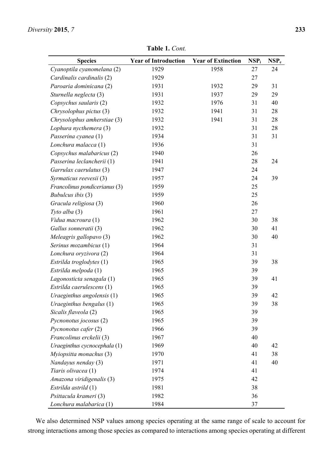| <b>Species</b>                | <b>Year of Introduction</b> | <b>Year of Extinction</b> | $NSP_i$ | $\bf NSP_e$ |
|-------------------------------|-----------------------------|---------------------------|---------|-------------|
| Cyanoptila cyanomelana (2)    | 1929                        | 1958                      | 27      | 24          |
| Cardinalis cardinalis (2)     | 1929                        |                           | 27      |             |
| Paroaria dominicana (2)       | 1931                        | 1932                      | 29      | 31          |
| Sturnella neglecta (3)        | 1931                        | 1937                      | 29      | 29          |
| Copsychus saularis (2)        | 1932                        | 1976                      | 31      | 40          |
| Chrysolophus pictus (3)       | 1932                        | 1941                      | 31      | 28          |
| Chrysolophus amherstiae (3)   | 1932                        | 1941                      | 31      | 28          |
| Lophura nycthemera (3)        | 1932                        |                           | 31      | 28          |
| Passerina cyanea (1)          | 1934                        |                           | 31      | 31          |
| Lonchura malacca (1)          | 1936                        |                           | 31      |             |
| Copsychus malabaricus (2)     | 1940                        |                           | 26      |             |
| Passerina leclancherii (1)    | 1941                        |                           | 28      | 24          |
| Garrulax caerulatus (3)       | 1947                        |                           | 24      |             |
| Syrmaticus reevesii (3)       | 1957                        |                           | 24      | 39          |
| Francolinus pondicerianus (3) | 1959                        |                           | 25      |             |
| Bubulcus ibis (3)             | 1959                        |                           | 25      |             |
| Gracula religiosa (3)         | 1960                        |                           | 26      |             |
| Tyto alba $(3)$               | 1961                        |                           | 27      |             |
| Vidua macroura (1)            | 1962                        |                           | 30      | 38          |
| Gallus sonneratii (3)         | 1962                        |                           | 30      | 41          |
| Meleagris gallopavo (3)       | 1962                        |                           | 30      | 40          |
| Serinus mozambicus (1)        | 1964                        |                           | 31      |             |
| Lonchura oryzivora (2)        | 1964                        |                           | 31      |             |
| Estrilda troglodytes (1)      | 1965                        |                           | 39      | 38          |
| Estrilda melpoda (1)          | 1965                        |                           | 39      |             |
| Lagonosticta senagala (1)     | 1965                        |                           | 39      | 41          |
| Estrilda caerulescens (1)     | 1965                        |                           | 39      |             |
| Uraeginthus angolensis (1)    | 1965                        |                           | 39      | 42          |
| Uraeginthus bengalus (1)      | 1965                        |                           | 39      | 38          |
| Sicalis flaveola (2)          | 1965                        |                           | 39      |             |
| Pycnonotus jocosus (2)        | 1965                        |                           | 39      |             |
| Pycnonotus cafer (2)          | 1966                        |                           | 39      |             |
| Francolinus erckelii (3)      | 1967                        |                           | 40      |             |
| Uraeginthus cycnocephala (1)  | 1969                        |                           | 40      | 42          |
| Myiopsitta monachus (3)       | 1970                        |                           | 41      | 38          |
| Nandayus nenday (3)           | 1971                        |                           | 41      | 40          |
| Tiaris olivacea (1)           | 1974                        |                           | 41      |             |
| Amazona viridigenalis (3)     | 1975                        |                           | 42      |             |
| Estrilda astrild (1)          | 1981                        |                           | 38      |             |
| Psittacula krameri (3)        | 1982                        |                           | 36      |             |
| Lonchura malabarica (1)       | 1984                        |                           | 37      |             |

**Table 1.** *Cont.* 

We also determined NSP values among species operating at the same range of scale to account for strong interactions among those species as compared to interactions among species operating at different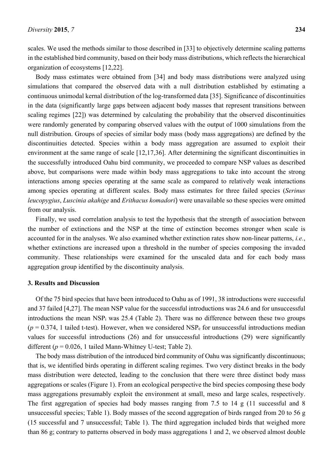scales. We used the methods similar to those described in [33] to objectively determine scaling patterns in the established bird community, based on their body mass distributions, which reflects the hierarchical organization of ecosystems [12,22].

Body mass estimates were obtained from [34] and body mass distributions were analyzed using simulations that compared the observed data with a null distribution established by estimating a continuous unimodal kernal distribution of the log-transformed data [35]. Significance of discontinuities in the data (significantly large gaps between adjacent body masses that represent transitions between scaling regimes [22]) was determined by calculating the probability that the observed discontinuities were randomly generated by comparing observed values with the output of 1000 simulations from the null distribution. Groups of species of similar body mass (body mass aggregations) are defined by the discontinuities detected. Species within a body mass aggregation are assumed to exploit their environment at the same range of scale [12,17,36]. After determining the significant discontinuities in the successfully introduced Oahu bird community, we proceeded to compare NSP values as described above, but comparisons were made within body mass aggregations to take into account the strong interactions among species operating at the same scale as compared to relatively weak interactions among species operating at different scales. Body mass estimates for three failed species (*Serinus leucopygius*, *Luscinia akahige* and *Erithacus komadori*) were unavailable so these species were omitted from our analysis.

Finally, we used correlation analysis to test the hypothesis that the strength of association between the number of extinctions and the NSP at the time of extinction becomes stronger when scale is accounted for in the analyses. We also examined whether extinction rates show non-linear patterns, *i.e.*, whether extinctions are increased upon a threshold in the number of species composing the invaded community. These relationships were examined for the unscaled data and for each body mass aggregation group identified by the discontinuity analysis.

#### **3. Results and Discussion**

Of the 75 bird species that have been introduced to Oahu as of 1991, 38 introductions were successful and 37 failed [4,27]. The mean NSP value for the successful introductions was 24.6 and for unsuccessful introductions the mean NSPi was 25.4 (Table 2). There was no difference between these two groups  $(p = 0.374, 1)$  tailed t-test). However, when we considered NSP<sub>e</sub> for unsuccessful introductions median values for successful introductions (26) and for unsuccessful introductions (29) were significantly different  $(p = 0.026, 1)$  tailed Mann-Whitney U-test; Table 2).

The body mass distribution of the introduced bird community of Oahu was significantly discontinuous; that is, we identified birds operating in different scaling regimes. Two very distinct breaks in the body mass distribution were detected, leading to the conclusion that there were three distinct body mass aggregations or scales (Figure 1). From an ecological perspective the bird species composing these body mass aggregations presumably exploit the environment at small, meso and large scales, respectively. The first aggregation of species had body masses ranging from 7.5 to 14 g (11 successful and 8 unsuccessful species; Table 1). Body masses of the second aggregation of birds ranged from 20 to 56 g (15 successful and 7 unsuccessful; Table 1). The third aggregation included birds that weighed more than 86 g; contrary to patterns observed in body mass aggregations 1 and 2, we observed almost double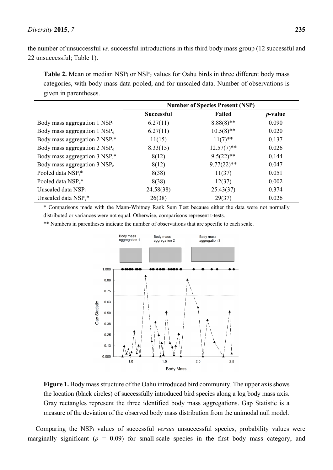the number of unsuccessful *vs*. successful introductions in this third body mass group (12 successful and 22 unsuccessful; Table 1).

Table 2. Mean or median NSP<sub>i</sub> or NSP<sub>e</sub> values for Oahu birds in three different body mass categories, with body mass data pooled, and for unscaled data. Number of observations is given in parentheses.

|                                              | <b>Number of Species Present (NSP)</b> |               |                 |
|----------------------------------------------|----------------------------------------|---------------|-----------------|
|                                              | <b>Successful</b>                      | Failed        | <i>p</i> -value |
| Body mass aggregation 1 NSP <sub>i</sub>     | 6.27(11)                               | $8.88(8)$ **  | 0.090           |
| Body mass aggregation 1 NSP <sub>e</sub>     | 6.27(11)                               | $10.5(8)$ **  | 0.020           |
| Body mass aggregation $2$ NSP <sub>i</sub> * | 11(15)                                 | $11(7)$ **    | 0.137           |
| Body mass aggregation 2 NSP <sub>e</sub>     | 8.33(15)                               | $12.57(7)$ ** | 0.026           |
| Body mass aggregation $3$ NSP <sub>i</sub> * | 8(12)                                  | $9.5(22)$ **  | 0.144           |
| Body mass aggregation 3 NSP <sub>e</sub>     | 8(12)                                  | $9.77(22)$ ** | 0.047           |
| Pooled data NSP;*                            | 8(38)                                  | 11(37)        | 0.051           |
| Pooled data NSP <sub>e</sub> *               | 8(38)                                  | 12(37)        | 0.002           |
| Unscaled data $NSP_i$                        | 24.58(38)                              | 25.43(37)     | 0.374           |
| Unscaled data NSP <sub>e</sub> *             | 26(38)                                 | 29(37)        | 0.026           |

\* Comparisons made with the Mann-Whitney Rank Sum Test because either the data were not normally distributed or variances were not equal. Otherwise, comparisons represent t-tests.

\*\* Numbers in parentheses indicate the number of observations that are specific to each scale.



**Figure 1.** Body mass structure of the Oahu introduced bird community. The upper axis shows the location (black circles) of successfully introduced bird species along a log body mass axis. Gray rectangles represent the three identified body mass aggregations. Gap Statistic is a measure of the deviation of the observed body mass distribution from the unimodal null model.

Comparing the NSPi values of successful *versus* unsuccessful species, probability values were marginally significant  $(p = 0.09)$  for small-scale species in the first body mass category, and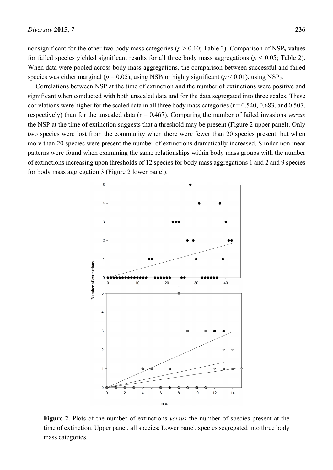nonsignificant for the other two body mass categories ( $p > 0.10$ ; Table 2). Comparison of NSP<sub>e</sub> values for failed species yielded significant results for all three body mass aggregations ( $p < 0.05$ ; Table 2). When data were pooled across body mass aggregations, the comparison between successful and failed species was either marginal ( $p = 0.05$ ), using NSP<sub>i</sub> or highly significant ( $p < 0.01$ ), using NSP<sub>e</sub>.

Correlations between NSP at the time of extinction and the number of extinctions were positive and significant when conducted with both unscaled data and for the data segregated into three scales. These correlations were higher for the scaled data in all three body mass categories ( $r = 0.540, 0.683,$  and  $0.507,$ respectively) than for the unscaled data (r = 0.467). Comparing the number of failed invasions *versus* the NSP at the time of extinction suggests that a threshold may be present (Figure 2 upper panel). Only two species were lost from the community when there were fewer than 20 species present, but when more than 20 species were present the number of extinctions dramatically increased. Similar nonlinear patterns were found when examining the same relationships within body mass groups with the number of extinctions increasing upon thresholds of 12 species for body mass aggregations 1 and 2 and 9 species for body mass aggregation 3 (Figure 2 lower panel).



**Figure 2.** Plots of the number of extinctions *versus* the number of species present at the time of extinction. Upper panel, all species; Lower panel, species segregated into three body mass categories.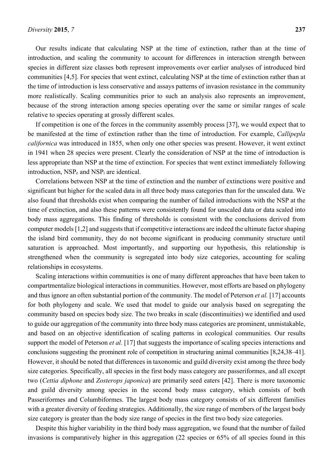Our results indicate that calculating NSP at the time of extinction, rather than at the time of introduction, and scaling the community to account for differences in interaction strength between species in different size classes both represent improvements over earlier analyses of introduced bird communities [4,5]. For species that went extinct, calculating NSP at the time of extinction rather than at the time of introduction is less conservative and assays patterns of invasion resistance in the community more realistically. Scaling communities prior to such an analysis also represents an improvement, because of the strong interaction among species operating over the same or similar ranges of scale relative to species operating at grossly different scales.

If competition is one of the forces in the community assembly process [37], we would expect that to be manifested at the time of extinction rather than the time of introduction. For example, *Callipepla californica* was introduced in 1855, when only one other species was present. However, it went extinct in 1941 when 28 species were present. Clearly the consideration of NSP at the time of introduction is less appropriate than NSP at the time of extinction. For species that went extinct immediately following introduction, NSPe and NSPi are identical.

Correlations between NSP at the time of extinction and the number of extinctions were positive and significant but higher for the scaled data in all three body mass categories than for the unscaled data. We also found that thresholds exist when comparing the number of failed introductions with the NSP at the time of extinction, and also these patterns were consistently found for unscaled data or data scaled into body mass aggregations. This finding of thresholds is consistent with the conclusions derived from computer models [1,2] and suggests that if competitive interactions are indeed the ultimate factor shaping the island bird community, they do not become significant in producing community structure until saturation is approached. Most importantly, and supporting our hypothesis, this relationship is strengthened when the community is segregated into body size categories, accounting for scaling relationships in ecosystems.

Scaling interactions within communities is one of many different approaches that have been taken to compartmentalize biological interactions in communities. However, most efforts are based on phylogeny and thus ignore an often substantial portion of the community. The model of Peterson *et al.* [17] accounts for both phylogeny and scale. We used that model to guide our analysis based on segregating the community based on species body size. The two breaks in scale (discontinuities) we identified and used to guide our aggregation of the community into three body mass categories are prominent, unmistakable, and based on an objective identification of scaling patterns in ecological communities. Our results support the model of Peterson *et al.* [17] that suggests the importance of scaling species interactions and conclusions suggesting the prominent role of competition in structuring animal communities [8,24,38–41]. However, it should be noted that differences in taxonomic and guild diversity exist among the three body size categories. Specifically, all species in the first body mass category are passeriformes, and all except two (*Cettia diphone* and *Zosterops japonica*) are primarily seed eaters [42]. There is more taxonomic and guild diversity among species in the second body mass category, which consists of both Passeriformes and Columbiformes. The largest body mass category consists of six different families with a greater diversity of feeding strategies. Additionally, the size range of members of the largest body size category is greater than the body size range of species in the first two body size categories.

Despite this higher variability in the third body mass aggregation, we found that the number of failed invasions is comparatively higher in this aggregation (22 species or 65% of all species found in this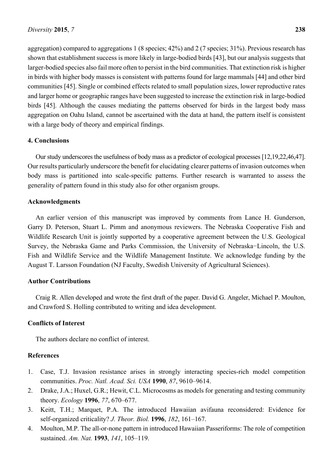aggregation) compared to aggregations 1 (8 species; 42%) and 2 (7 species; 31%). Previous research has shown that establishment success is more likely in large-bodied birds [43], but our analysis suggests that larger-bodied species also fail more often to persist in the bird communities. That extinction risk is higher in birds with higher body masses is consistent with patterns found for large mammals [44] and other bird communities [45]. Single or combined effects related to small population sizes, lower reproductive rates and larger home or geographic ranges have been suggested to increase the extinction risk in large-bodied birds [45]. Although the causes mediating the patterns observed for birds in the largest body mass aggregation on Oahu Island, cannot be ascertained with the data at hand, the pattern itself is consistent with a large body of theory and empirical findings.

## **4. Conclusions**

Our study underscores the usefulness of body mass as a predictor of ecological processes [12,19,22,46,47]. Our results particularly underscore the benefit for elucidating clearer patterns of invasion outcomes when body mass is partitioned into scale-specific patterns. Further research is warranted to assess the generality of pattern found in this study also for other organism groups.

## **Acknowledgments**

An earlier version of this manuscript was improved by comments from Lance H. Gunderson, Garry D. Peterson, Stuart L. Pimm and anonymous reviewers. The Nebraska Cooperative Fish and Wildlife Research Unit is jointly supported by a cooperative agreement between the U.S. Geological Survey, the Nebraska Game and Parks Commission, the University of Nebraska−Lincoln, the U.S. Fish and Wildlife Service and the Wildlife Management Institute. We acknowledge funding by the August T. Larsson Foundation (NJ Faculty, Swedish University of Agricultural Sciences).

# **Author Contributions**

Craig R. Allen developed and wrote the first draft of the paper. David G. Angeler, Michael P. Moulton, and Crawford S. Holling contributed to writing and idea development.

# **Conflicts of Interest**

The authors declare no conflict of interest.

## **References**

- 1. Case, T.J. Invasion resistance arises in strongly interacting species-rich model competition communities. *Proc. Natl. Acad. Sci. USA* **1990**, *87*, 9610–9614.
- 2. Drake, J.A.; Huxel, G.R.; Hewit, C.L. Microcosms as models for generating and testing community theory. *Ecology* **1996**, *77*, 670–677.
- 3. Keitt, T.H.; Marquet, P.A. The introduced Hawaiian avifauna reconsidered: Evidence for self-organized criticality? *J. Theor. Biol.* **1996**, *182*, 161–167.
- 4. Moulton, M.P. The all-or-none pattern in introduced Hawaiian Passeriforms: The role of competition sustained. *Am. Nat.* **1993**, *141*, 105–119.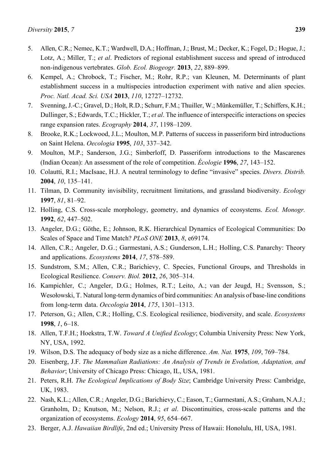- 6. Kempel, A.; Chrobock, T.; Fischer, M.; Rohr, R.P.; van Kleunen, M. Determinants of plant establishment success in a multispecies introduction experiment with native and alien species. *Proc. Natl. Acad. Sci. USA* **2013**, *110*, 12727–12732.
- 7. Svenning, J.-C.; Gravel, D.; Holt, R.D.; Schurr, F.M.; Thuiller, W.; Münkemüller, T.; Schiffers, K.H.; Dullinger, S.; Edwards, T.C.; Hickler, T.; *et al*. The influence of interspecific interactions on species range expansion rates. *Ecography* **2014**, *37*, 1198–1209.
- 8. Brooke, R.K.; Lockwood, J.L.; Moulton, M.P. Patterns of success in passeriform bird introductions on Saint Helena. *Oecologia* **1995**, *103*, 337–342.
- 9. Moulton, M.P.; Sanderson, J.G.; Simberloff, D. Passeriform introductions to the Mascarenes (Indian Ocean): An assessment of the role of competition. *Écologie* **1996**, *27*, 143–152.
- 10. Colautti, R.I.; MacIsaac, H.J. A neutral terminology to define "invasive" species. *Divers. Distrib.* **2004**, *10*, 135–141.
- 11. Tilman, D. Community invisibility, recruitment limitations, and grassland biodiversity. *Ecology* **1997**, *81*, 81–92.
- 12. Holling, C.S. Cross-scale morphology, geometry, and dynamics of ecosystems. *Ecol. Monogr.* **1992**, *62*, 447–502.
- 13. Angeler, D.G.; Göthe, E.; Johnson, R.K. Hierarchical Dynamics of Ecological Communities: Do Scales of Space and Time Match? *PLoS ONE* **2013**, *8*, e69174.
- 14. Allen, C.R.; Angeler, D.G.; Garmestani, A.S.; Gunderson, L.H.; Holling, C.S. Panarchy: Theory and applications. *Ecosystems* **2014**, *17*, 578–589.
- 15. Sundstrom, S.M.; Allen, C.R.; Barichievy, C. Species, Functional Groups, and Thresholds in Ecological Resilience. *Conserv. Biol.* **2012**, *26*, 305–314.
- 16. Kampichler, C.; Angeler, D.G.; Holmes, R.T.; Leito, A.; van der Jeugd, H.; Svensson, S.; Wesołowski, T. Natural long-term dynamics of bird communities: An analysis of base-line conditions from long-term data. *Oecologia* **2014**, *175*, 1301–1313.
- 17. Peterson, G.; Allen, C.R.; Holling, C.S. Ecological resilience, biodiversity, and scale. *Ecosystems* **1998**, *1*, 6–18.
- 18. Allen, T.F.H.; Hoekstra, T.W. *Toward A Unified Ecology*; Columbia University Press: New York, NY, USA, 1992.
- 19. Wilson, D.S. The adequacy of body size as a niche difference. *Am. Nat.* **1975**, *109*, 769–784.
- 20. Eisenberg, J.F. *The Mammalian Radiations: An Analysis of Trends in Evolution, Adaptation, and Behavior*; University of Chicago Press: Chicago, IL, USA, 1981.
- 21. Peters, R.H. *The Ecological Implications of Body Size*; Cambridge University Press: Cambridge, UK, 1983.
- 22. Nash, K.L.; Allen, C.R.; Angeler, D.G.; Barichievy, C.; Eason, T.; Garmestani, A.S.; Graham, N.A.J.; Granholm, D.; Knutson, M.; Nelson, R.J.; *et al*. Discontinuities, cross-scale patterns and the organization of ecosystems. *Ecology* **2014**, *95*, 654–667.
- 23. Berger, A.J. *Hawaiian Birdlife*, 2nd ed.; University Press of Hawaii: Honolulu, HI, USA, 1981*.*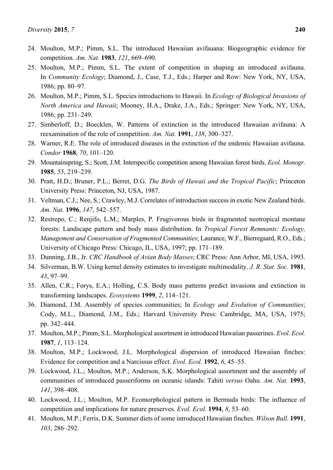- 24. Moulton, M.P.; Pimm, S.L. The introduced Hawaiian avifauana: Biogeographic evidence for competition. *Am. Nat.* **1983**, *121*, 669–690.
- 25. Moulton, M.P.; Pimm, S.L. The extent of competition in shaping an introduced avifauna. In *Community Ecology*; Diamond, J., Case, T.J., Eds.; Harper and Row: New York, NY, USA, 1986; pp. 80–97.
- 26. Moulton, M.P.; Pimm, S.L. Species introductions to Hawaii. In *Ecology of Biological Invasions of North America and Hawaii*; Mooney, H.A., Drake, J.A., Eds.; Springer: New York, NY, USA, 1986; pp. 231–249.
- 27. Simberloff, D.; Boecklen, W. Patterns of extinction in the introduced Hawaiian avifauna: A reexamination of the role of competition. *Am. Nat.* **1991**, *138*, 300–327.
- 28. Warner, R.E. The role of introduced diseases in the extinction of the endemic Hawaiian avifauna. *Condor* **1968**, *70*, 101–120.
- 29. Mountainspring, S.; Scott, J.M. Interspecific competition among Hawaiian forest birds. *Ecol. Monogr.* **1985**, *55*, 219–239.
- 30. Pratt, H.D.; Bruner, P.L.; Berret, D.G. *The Birds of Hawaii and the Tropical Pacific*; Princeton University Press: Princeton, NJ, USA, 1987.
- 31. Veltman, C.J.; Nee, S.; Crawley, M.J. Correlates of introduction success in exotic New Zealand birds. *Am. Nat.* **1996**, *147*, 542–557.
- 32. Restrepo, C.; Renjifo, L.M.; Marples, P. Frugivorous birds in fragmented neotropical montane forests: Landscape pattern and body mass distribution. In *Tropical Forest Remnants: Ecology, Management and Conservation of Fragmented Communities*; Laurance, W.F., Bierregaard, R.O., Eds.; University of Chicago Press: Chicago, IL, USA, 1997; pp. 171–189.
- 33. Dunning, J.B., Jr. *CRC Handbook of Avian Body Masses*; CRC Press: Ann Arbor, MI, USA, 1993.
- 34. Silverman, B.W. Using kernel density estimates to investigate multimodality. *J. R. Stat. Soc.* **1981**, *43*, 97–99.
- 35. Allen, C.R.; Forys, E.A.; Holling, C.S. Body mass patterns predict invasions and extinction in transforming landscapes. *Ecosystems* **1999**, *2*, 114–121.
- 36. Diamond, J.M. Assembly of species communities; In *Ecology and Evolution of Communities*; Cody, M.L., Diamond, J.M., Eds.; Harvard University Press: Cambridge, MA, USA, 1975; pp. 342–444.
- 37. Moulton, M.P.; Pimm, S.L. Morphological assortment in introduced Hawaiian passerines. *Evol. Ecol.* **1987**, *1*, 113–124.
- 38. Moulton, M.P.; Lockwood, J.L. Morphological dispersion of introduced Hawaiian finches: Evidence for competition and a Narcissus effect. *Evol. Ecol.* **1992**, *6*, 45–55.
- 39. Lockwood, J.L.; Moulton, M.P.; Anderson, S.K. Morphological assortment and the assembly of communities of introduced passeriforms on oceanic islands: Tahiti *versus* Oahu. *Am. Nat.* **1993**, *141*, 398–408.
- 40. Lockwood, J.L.; Moulton, M.P. Ecomorphological pattern in Bermuda birds: The influence of competition and implications for nature preserves. *Evol. Ecol.* **1994**, *8*, 53–60.
- 41. Moulton, M.P.; Ferris, D.K. Summer diets of some introduced Hawaiian finches. *Wilson Bull.* **1991**, *103*, 286–292.